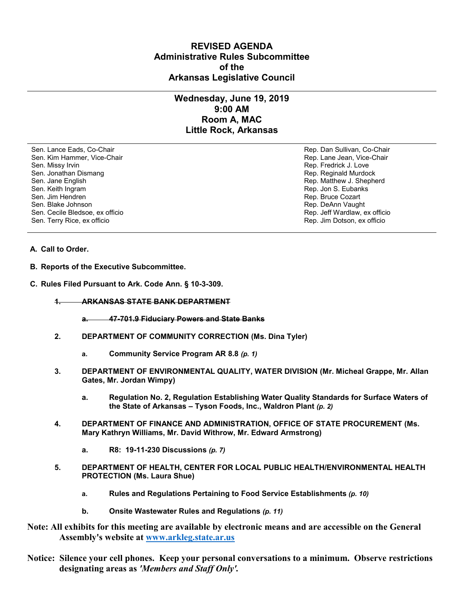## **REVISED AGENDA Administrative Rules Subcommittee of the Arkansas Legislative Council**

## **Wednesday, June 19, 2019 9:00 AM Room A, MAC Little Rock, Arkansas**

Sen. Lance Eads, Co-Chair Rep. Dan Sullivan, Co-Chair Sen. Kim Hammer, Vice-Chair **Rep. Lane Jean, Vice-Chair** Rep. Lane Jean, Vice-Chair Sen. Missy Irvin November 2012 19:00 19:00 19:00 19:00 19:00 19:00 19:00 19:00 19:00 19:00 19:00 19:00 19:00 1 Sen. Jonathan Dismang Rep. Reginald Murdock Sen. Jane English Rep. Matthew J. Shepherd Rep. Matthew J. Shepherd Sen. Keith Ingram Rep. Jon S. Eubanks (Sen. Keith Ingram Rep. Jon S. Eubanks (Sen. Jon S. Eubanks (Sen. Jon S. Eubanks (Sen. Jon S. Eubanks (Sen. Jon S. Eubanks (Sen. Jon S. Eubanks (Sen. Jon S. Eubanks (Sen. Jon S. Eubank Sen. Jim Hendren Rep. Bruce Cozart (1999) Sen. Jim Hendren Rep. Bruce Cozart (1999) Sen. Bruce Cozart (1999) Sen. Bruce Cozart (1999) Sen. Bruce Cozart (1999) Sen. Bruce Cozart (1999) Sen. Bruce Cozart (1999) Sen. Bruce Co Sen. Cecile Bledsoe, ex officio Sen. Terry Rice, ex officio Rep. Jim Dotson, ex officio

Rep. DeAnn Vaught<br>Rep. Jeff Wardlaw, ex officio

## **A. Call to Order.**

- **B. Reports of the Executive Subcommittee.**
- **C. Rules Filed Pursuant to Ark. Code Ann. § 10-3-309.**
	- **1. ARKANSAS STATE BANK DEPARTMENT**
		- **a. 47-701.9 Fiduciary Powers and State Banks**
	- **2. DEPARTMENT OF COMMUNITY CORRECTION (Ms. Dina Tyler)**
		- **a. Community Service Program AR 8.8** *(p. 1)*
	- **3. DEPARTMENT OF ENVIRONMENTAL QUALITY, WATER DIVISION (Mr. Micheal Grappe, Mr. Allan Gates, Mr. Jordan Wimpy)**
		- **a. Regulation No. 2, Regulation Establishing Water Quality Standards for Surface Waters of the State of Arkansas – Tyson Foods, Inc., Waldron Plant** *(p. 2)*
	- **4. DEPARTMENT OF FINANCE AND ADMINISTRATION, OFFICE OF STATE PROCUREMENT (Ms. Mary Kathryn Williams, Mr. David Withrow, Mr. Edward Armstrong)**
		- **a. R8: 19-11-230 Discussions** *(p. 7)*
	- **5. DEPARTMENT OF HEALTH, CENTER FOR LOCAL PUBLIC HEALTH/ENVIRONMENTAL HEALTH PROTECTION (Ms. Laura Shue)**
		- **a. Rules and Regulations Pertaining to Food Service Establishments** *(p. 10)*
		- **b. Onsite Wastewater Rules and Regulations** *(p. 11)*
- **Note: All exhibits for this meeting are available by electronic means and are accessible on the General Assembly's website at [www.arkleg.state.ar.us](http://www.arkleg.state.ar.us)**
- **Notice: Silence your cell phones. Keep your personal conversations to a minimum. Observe restrictions designating areas as** *'Members and Staff Only'.*